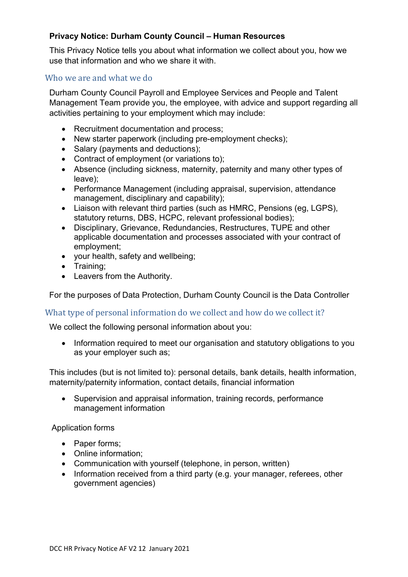# **Privacy Notice: Durham County Council – Human Resources**

This Privacy Notice tells you about what information we collect about you, how we use that information and who we share it with.

### Who we are and what we do

Durham County Council Payroll and Employee Services and People and Talent Management Team provide you, the employee, with advice and support regarding all activities pertaining to your employment which may include:

- Recruitment documentation and process;
- New starter paperwork (including pre-employment checks);
- Salary (payments and deductions):
- Contract of employment (or variations to);
- Absence (including sickness, maternity, paternity and many other types of leave);
- Performance Management (including appraisal, supervision, attendance management, disciplinary and capability);
- Liaison with relevant third parties (such as HMRC, Pensions (eg, LGPS), statutory returns, DBS, HCPC, relevant professional bodies);
- Disciplinary, Grievance, Redundancies, Restructures, TUPE and other applicable documentation and processes associated with your contract of employment;
- your health, safety and wellbeing;
- Training;
- Leavers from the Authority.

For the purposes of Data Protection, Durham County Council is the Data Controller

#### What type of personal information do we collect and how do we collect it?

We collect the following personal information about you:

• Information required to meet our organisation and statutory obligations to you as your employer such as;

This includes (but is not limited to): personal details, bank details, health information, maternity/paternity information, contact details, financial information

• Supervision and appraisal information, training records, performance management information

Application forms

- Paper forms;
- Online information;
- Communication with yourself (telephone, in person, written)
- Information received from a third party (e.g. your manager, referees, other government agencies)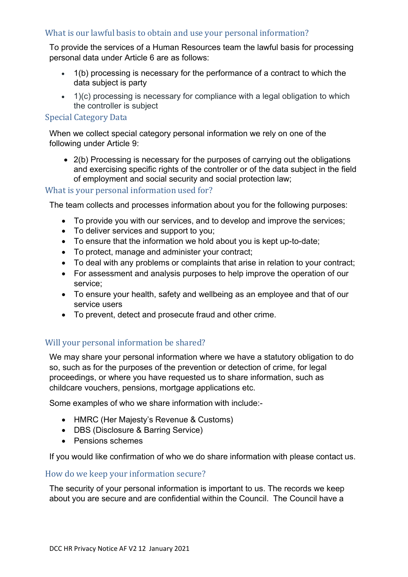# What is our lawful basis to obtain and use your personal information?

To provide the services of a Human Resources team the lawful basis for processing personal data under Article 6 are as follows:

- 1(b) processing is necessary for the performance of a contract to which the data subject is party
- 1)(c) processing is necessary for compliance with a legal obligation to which the controller is subject

### Special Category Data

When we collect special category personal information we rely on one of the following under Article 9:

• 2(b) Processing is necessary for the purposes of carrying out the obligations and exercising specific rights of the controller or of the data subject in the field of employment and social security and social protection law;

### What is your personal information used for?

The team collects and processes information about you for the following purposes:

- To provide you with our services, and to develop and improve the services;
- To deliver services and support to you;
- To ensure that the information we hold about you is kept up-to-date;
- To protect, manage and administer your contract;
- To deal with any problems or complaints that arise in relation to your contract;
- For assessment and analysis purposes to help improve the operation of our service;
- To ensure your health, safety and wellbeing as an employee and that of our service users
- To prevent, detect and prosecute fraud and other crime.

# Will your personal information be shared?

We may share your personal information where we have a statutory obligation to do so, such as for the purposes of the prevention or detection of crime, for legal proceedings, or where you have requested us to share information, such as childcare vouchers, pensions, mortgage applications etc.

Some examples of who we share information with include:-

- HMRC (Her Majesty's Revenue & Customs)
- DBS (Disclosure & Barring Service)
- Pensions schemes

If you would like confirmation of who we do share information with please contact us.

# How do we keep your information secure?

The security of your personal information is important to us. The records we keep about you are secure and are confidential within the Council. The Council have a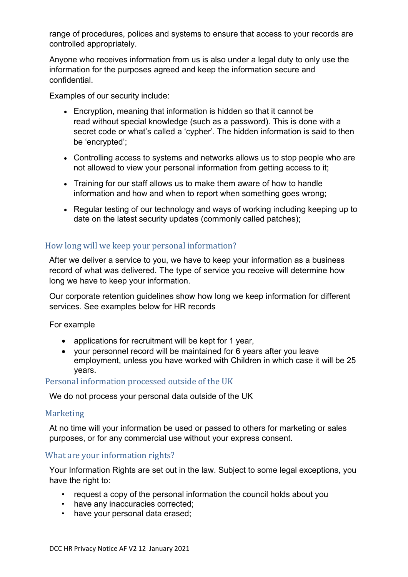range of procedures, polices and systems to ensure that access to your records are controlled appropriately.

Anyone who receives information from us is also under a legal duty to only use the information for the purposes agreed and keep the information secure and confidential.

Examples of our security include:

- Encryption, meaning that information is hidden so that it cannot be read without special knowledge (such as a password). This is done with a secret code or what's called a 'cypher'. The hidden information is said to then be 'encrypted';
- Controlling access to systems and networks allows us to stop people who are not allowed to view your personal information from getting access to it;
- Training for our staff allows us to make them aware of how to handle information and how and when to report when something goes wrong;
- Regular testing of our technology and ways of working including keeping up to date on the latest security updates (commonly called patches);

# How long will we keep your personal information?

After we deliver a service to you, we have to keep your information as a business record of what was delivered. The type of service you receive will determine how long we have to keep your information.

Our corporate retention guidelines show how long we keep information for different services. See examples below for HR records

For example

- applications for recruitment will be kept for 1 year,
- your personnel record will be maintained for 6 years after you leave employment, unless you have worked with Children in which case it will be 25 years.

#### Personal information processed outside of the UK

We do not process your personal data outside of the UK

#### **Marketing**

At no time will your information be used or passed to others for marketing or sales purposes, or for any commercial use without your express consent.

#### What are your information rights?

Your Information Rights are set out in the law. Subject to some legal exceptions, you have the right to:

- request a copy of the personal information the council holds about you
- have any inaccuracies corrected;
- have your personal data erased;